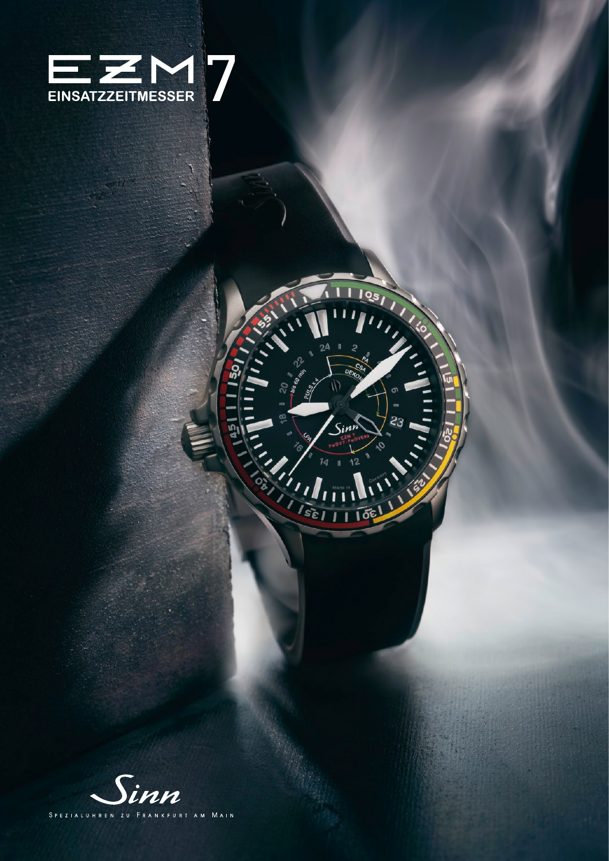

1105

106

 $\frac{1}{23}$ 

50

ប្លា

**AND SOLD** 

 $\mathbf{r}$ 

THE REAL

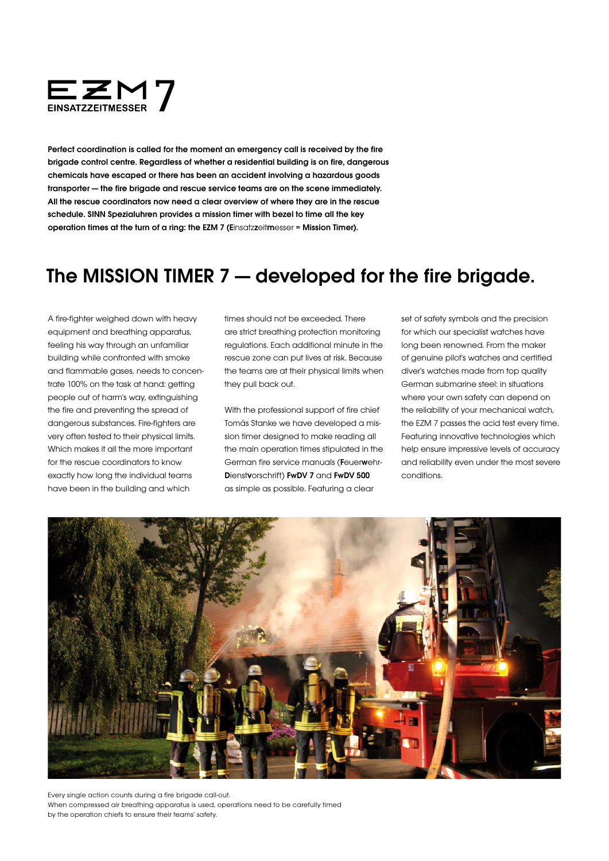

Perfect coordination is called for the moment an emergency call is received by the fire brigade control centre. Regardless of whether a residential building is on fire, dangerous chemicals have escaped or there has been an accident involving a hazardous goods transporter — the fire brigade and rescue service teams are on the scene immediately. All the rescue coordinators now need a clear overview of where they are in the rescue schedule. SINN Spezialuhren provides a mission timer with bezel to time all the key operation times at the turn of a ring: the EZM 7 (Einsatzzeitmesser = Mission Timer).

## The MISSION TIMER 7 – developed for the fire brigade.

A fire-fighter weighed down with heavy equipment and breathing apparatus, feeling his way through an unfamiliar building while confronted with smoke and flammable gases, needs to concentrate 100% on the task at hand: getting people out of harm's way, extinguishing the fire and preventing the spread of dangerous substances. Fire-fighters are very often tested to their physical limits. Which makes it all the more important for the rescue coordinators to know exactly how long the individual teams have been in the building and which

times should not be exceeded. There are strict breathing protection monitoring regulations. Each additional minute in the rescue zone can put lives at risk. Because the teams are at their physical limits when they pull back out.

With the professional support of fire chief Tomás Stanke we have developed a mission timer designed to make reading all the main operation times stipulated in the German fire service manuals (Feuerwehr-Dienstvorschrift) FwDV 7 and FwDV 500 as simple as possible. Featuring a clear

set of safety symbols and the precision for which our specialist watches have long been renowned. From the maker of genuine pilot's watches and certified diver's watches made from top quality German submarine steel: in situations where your own safety can depend on the reliability of your mechanical watch, the EZM 7 passes the acid test every time. Featuring innovative technologies which help ensure impressive levels of accuracy and reliability even under the most severe conditions.



Every single action counts during a fire brigade call-out. When compressed air breathing apparatus is used, operations need to be carefully timed by the operation chiefs to ensure their teams' safety.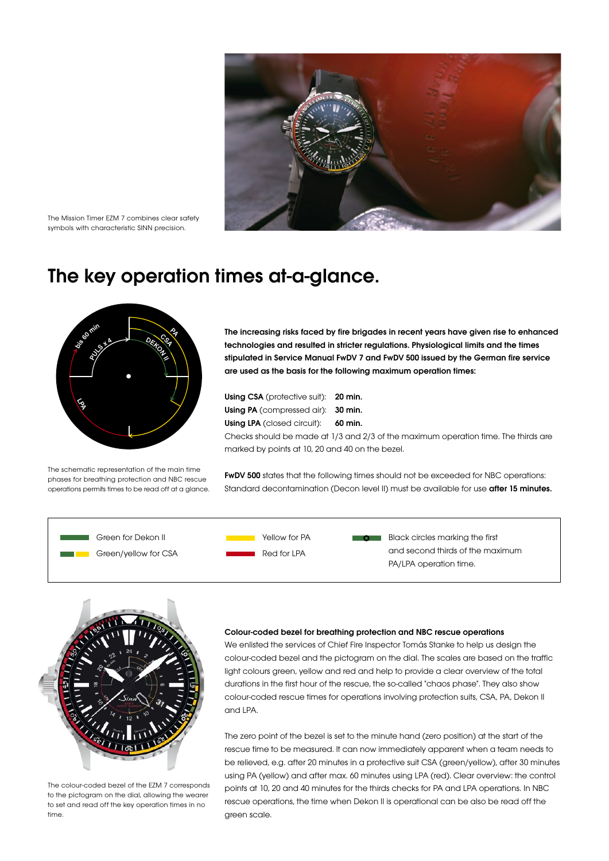

The Mission Timer EZM 7 combines clear safety symbols with characteristic SINN precision.

## The key operation times at-a-glance.



The schematic representation of the main time phases for breathing protection and NBC rescue operations permits times to be read off at a glance. The increasing risks faced by fire brigades in recent years have given rise to enhanced technologies and resulted in stricter regulations. Physiological limits and the times stipulated in Service Manual FwDV 7 and FwDV 500 issued by the German fire service are used as the basis for the following maximum operation times:

Using CSA (protective suit): 20 min. Using PA (compressed air): 30 min. Using LPA (closed circuit): 60 min.

Checks should be made at 1/3 and 2/3 of the maximum operation time. The thirds are marked by points at 10, 20 and 40 on the bezel.

FwDV 500 states that the following times should not be exceeded for NBC operations: Standard decontamination (Decon level II) must be available for use **after 15 minutes.** 





The colour-coded bezel of the EZM 7 corresponds to the pictogram on the dial, allowing the wearer to set and read off the key operation times in no time.

## Colour-coded bezel for breathing protection and NBC rescue operations

We enlisted the services of Chief Fire Inspector Tomás Stanke to help us design the colour-coded bezel and the pictogram on the dial. The scales are based on the traffic light colours green, yellow and red and help to provide a clear overview of the total durations in the first hour of the rescue, the so-called "chaos phase". They also show colour-coded rescue times for operations involving protection suits, CSA, PA, Dekon II and LPA.

The zero point of the bezel is set to the minute hand (zero position) at the start of the rescue time to be measured. It can now immediately apparent when a team needs to be relieved, e.g. after 20 minutes in a protective suit CSA (green/yellow), after 30 minutes using PA (yellow) and after max. 60 minutes using LPA (red). Clear overview: the control points at 10, 20 and 40 minutes for the thirds checks for PA and LPA operations. In NBC rescue operations, the time when Dekon II is operational can be also be read off the green scale.